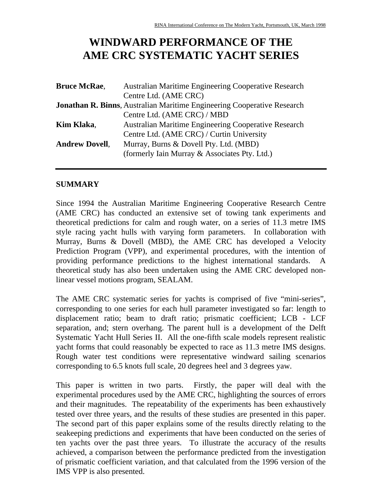# **WINDWARD PERFORMANCE OF THE AME CRC SYSTEMATIC YACHT SERIES**

| <b>Australian Maritime Engineering Cooperative Research</b>                    |
|--------------------------------------------------------------------------------|
| Centre Ltd. (AME CRC)                                                          |
| <b>Jonathan R. Binns, Australian Maritime Engineering Cooperative Research</b> |
| Centre Ltd. (AME CRC) / MBD                                                    |
| <b>Australian Maritime Engineering Cooperative Research</b>                    |
| Centre Ltd. (AME CRC) / Curtin University                                      |
| Murray, Burns & Dovell Pty. Ltd. (MBD)                                         |
| (formerly Iain Murray & Associates Pty. Ltd.)                                  |
|                                                                                |

## **SUMMARY**

Since 1994 the Australian Maritime Engineering Cooperative Research Centre (AME CRC) has conducted an extensive set of towing tank experiments and theoretical predictions for calm and rough water, on a series of 11.3 metre IMS style racing yacht hulls with varying form parameters. In collaboration with Murray, Burns & Dovell (MBD), the AME CRC has developed a Velocity Prediction Program (VPP), and experimental procedures, with the intention of providing performance predictions to the highest international standards. A theoretical study has also been undertaken using the AME CRC developed nonlinear vessel motions program, SEALAM.

The AME CRC systematic series for yachts is comprised of five "mini-series", corresponding to one series for each hull parameter investigated so far: length to displacement ratio; beam to draft ratio; prismatic coefficient; LCB - LCF separation, and; stern overhang. The parent hull is a development of the Delft Systematic Yacht Hull Series II. All the one-fifth scale models represent realistic yacht forms that could reasonably be expected to race as 11.3 metre IMS designs. Rough water test conditions were representative windward sailing scenarios corresponding to 6.5 knots full scale, 20 degrees heel and 3 degrees yaw.

This paper is written in two parts. Firstly, the paper will deal with the experimental procedures used by the AME CRC, highlighting the sources of errors and their magnitudes. The repeatability of the experiments has been exhaustively tested over three years, and the results of these studies are presented in this paper. The second part of this paper explains some of the results directly relating to the seakeeping predictions and experiments that have been conducted on the series of ten yachts over the past three years. To illustrate the accuracy of the results achieved, a comparison between the performance predicted from the investigation of prismatic coefficient variation, and that calculated from the 1996 version of the IMS VPP is also presented.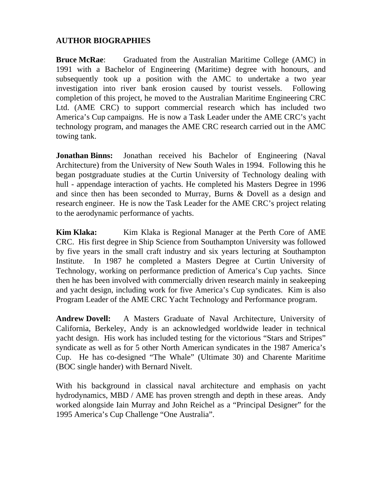#### **AUTHOR BIOGRAPHIES**

**Bruce McRae:** Graduated from the Australian Maritime College (AMC) in 1991 with a Bachelor of Engineering (Maritime) degree with honours, and subsequently took up a position with the AMC to undertake a two year investigation into river bank erosion caused by tourist vessels. Following completion of this project, he moved to the Australian Maritime Engineering CRC Ltd. (AME CRC) to support commercial research which has included two America's Cup campaigns. He is now a Task Leader under the AME CRC's yacht technology program, and manages the AME CRC research carried out in the AMC towing tank.

**Jonathan Binns:** Jonathan received his Bachelor of Engineering (Naval Architecture) from the University of New South Wales in 1994. Following this he began postgraduate studies at the Curtin University of Technology dealing with hull - appendage interaction of yachts. He completed his Masters Degree in 1996 and since then has been seconded to Murray, Burns & Dovell as a design and research engineer. He is now the Task Leader for the AME CRC's project relating to the aerodynamic performance of yachts.

**Kim Klaka:** Kim Klaka is Regional Manager at the Perth Core of AME CRC. His first degree in Ship Science from Southampton University was followed by five years in the small craft industry and six years lecturing at Southampton Institute. In 1987 he completed a Masters Degree at Curtin University of Technology, working on performance prediction of America's Cup yachts. Since then he has been involved with commercially driven research mainly in seakeeping and yacht design, including work for five America's Cup syndicates. Kim is also Program Leader of the AME CRC Yacht Technology and Performance program.

**Andrew Dovell:** A Masters Graduate of Naval Architecture, University of California, Berkeley, Andy is an acknowledged worldwide leader in technical yacht design. His work has included testing for the victorious "Stars and Stripes" syndicate as well as for 5 other North American syndicates in the 1987 America's Cup. He has co-designed "The Whale" (Ultimate 30) and Charente Maritime (BOC single hander) with Bernard Nivelt.

With his background in classical naval architecture and emphasis on yacht hydrodynamics, MBD / AME has proven strength and depth in these areas. Andy worked alongside Iain Murray and John Reichel as a "Principal Designer" for the 1995 America's Cup Challenge "One Australia".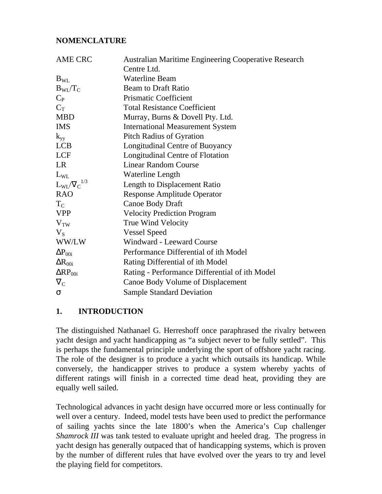# **NOMENCLATURE**

| AME CRC            | <b>Australian Maritime Engineering Cooperative Research</b> |
|--------------------|-------------------------------------------------------------|
|                    | Centre Ltd.                                                 |
| $B_{WL}$           | <b>Waterline Beam</b>                                       |
| $B_{\rm WI}/T_C$   | <b>Beam to Draft Ratio</b>                                  |
| $C_{P}$            | <b>Prismatic Coefficient</b>                                |
| $C_T$              | <b>Total Resistance Coefficient</b>                         |
| <b>MBD</b>         | Murray, Burns & Dovell Pty. Ltd.                            |
| <b>IMS</b>         | <b>International Measurement System</b>                     |
| $k_{yy}$           | <b>Pitch Radius of Gyration</b>                             |
| <b>LCB</b>         | Longitudinal Centre of Buoyancy                             |
| <b>LCF</b>         | Longitudinal Centre of Flotation                            |
| LR                 | <b>Linear Random Course</b>                                 |
| $L_{WL}$           | Waterline Length                                            |
| $L_{WL}/V_C^{1/3}$ | Length to Displacement Ratio                                |
| <b>RAO</b>         | <b>Response Amplitude Operator</b>                          |
| $T_{\rm C}$        | Canoe Body Draft                                            |
| <b>VPP</b>         | <b>Velocity Prediction Program</b>                          |
| $V_{TW}$           | True Wind Velocity                                          |
| $V_{S}$            | <b>Vessel Speed</b>                                         |
| WW/LW              | Windward - Leeward Course                                   |
| $\Delta P_{00i}$   | Performance Differential of ith Model                       |
| $\Delta R_{00i}$   | Rating Differential of ith Model                            |
| $\Delta RP_{00i}$  | Rating - Performance Differential of ith Model              |
| $\nabla_{\rm C}$   | Canoe Body Volume of Displacement                           |
| σ                  | <b>Sample Standard Deviation</b>                            |

# **1. INTRODUCTION**

The distinguished Nathanael G. Herreshoff once paraphrased the rivalry between yacht design and yacht handicapping as "a subject never to be fully settled". This is perhaps the fundamental principle underlying the sport of offshore yacht racing. The role of the designer is to produce a yacht which outsails its handicap. While conversely, the handicapper strives to produce a system whereby yachts of different ratings will finish in a corrected time dead heat, providing they are equally well sailed.

Technological advances in yacht design have occurred more or less continually for well over a century. Indeed, model tests have been used to predict the performance of sailing yachts since the late 1800's when the America's Cup challenger *Shamrock III* was tank tested to evaluate upright and heeled drag. The progress in yacht design has generally outpaced that of handicapping systems, which is proven by the number of different rules that have evolved over the years to try and level the playing field for competitors.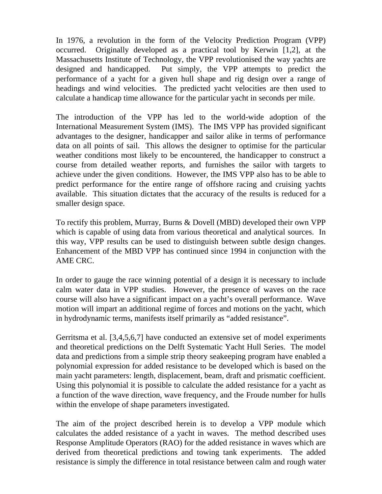In 1976, a revolution in the form of the Velocity Prediction Program (VPP) occurred. Originally developed as a practical tool by Kerwin [1,2], at the Massachusetts Institute of Technology, the VPP revolutionised the way yachts are designed and handicapped. Put simply, the VPP attempts to predict the performance of a yacht for a given hull shape and rig design over a range of headings and wind velocities. The predicted yacht velocities are then used to calculate a handicap time allowance for the particular yacht in seconds per mile.

The introduction of the VPP has led to the world-wide adoption of the International Measurement System (IMS). The IMS VPP has provided significant advantages to the designer, handicapper and sailor alike in terms of performance data on all points of sail. This allows the designer to optimise for the particular weather conditions most likely to be encountered, the handicapper to construct a course from detailed weather reports, and furnishes the sailor with targets to achieve under the given conditions. However, the IMS VPP also has to be able to predict performance for the entire range of offshore racing and cruising yachts available. This situation dictates that the accuracy of the results is reduced for a smaller design space.

To rectify this problem, Murray, Burns & Dovell (MBD) developed their own VPP which is capable of using data from various theoretical and analytical sources. In this way, VPP results can be used to distinguish between subtle design changes. Enhancement of the MBD VPP has continued since 1994 in conjunction with the AME CRC.

In order to gauge the race winning potential of a design it is necessary to include calm water data in VPP studies. However, the presence of waves on the race course will also have a significant impact on a yacht's overall performance. Wave motion will impart an additional regime of forces and motions on the yacht, which in hydrodynamic terms, manifests itself primarily as "added resistance".

Gerritsma et al. [3,4,5,6,7] have conducted an extensive set of model experiments and theoretical predictions on the Delft Systematic Yacht Hull Series. The model data and predictions from a simple strip theory seakeeping program have enabled a polynomial expression for added resistance to be developed which is based on the main yacht parameters: length, displacement, beam, draft and prismatic coefficient. Using this polynomial it is possible to calculate the added resistance for a yacht as a function of the wave direction, wave frequency, and the Froude number for hulls within the envelope of shape parameters investigated.

The aim of the project described herein is to develop a VPP module which calculates the added resistance of a yacht in waves. The method described uses Response Amplitude Operators (RAO) for the added resistance in waves which are derived from theoretical predictions and towing tank experiments. The added resistance is simply the difference in total resistance between calm and rough water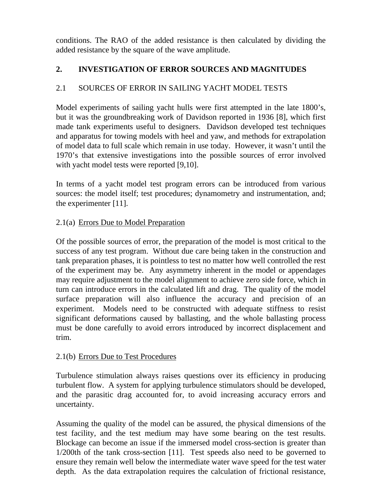conditions. The RAO of the added resistance is then calculated by dividing the added resistance by the square of the wave amplitude.

# **2. INVESTIGATION OF ERROR SOURCES AND MAGNITUDES**

# 2.1 SOURCES OF ERROR IN SAILING YACHT MODEL TESTS

Model experiments of sailing yacht hulls were first attempted in the late 1800's, but it was the groundbreaking work of Davidson reported in 1936 [8], which first made tank experiments useful to designers. Davidson developed test techniques and apparatus for towing models with heel and yaw, and methods for extrapolation of model data to full scale which remain in use today. However, it wasn't until the 1970's that extensive investigations into the possible sources of error involved with yacht model tests were reported [9,10].

In terms of a yacht model test program errors can be introduced from various sources: the model itself; test procedures; dynamometry and instrumentation, and; the experimenter [11].

# 2.1(a) Errors Due to Model Preparation

Of the possible sources of error, the preparation of the model is most critical to the success of any test program. Without due care being taken in the construction and tank preparation phases, it is pointless to test no matter how well controlled the rest of the experiment may be. Any asymmetry inherent in the model or appendages may require adjustment to the model alignment to achieve zero side force, which in turn can introduce errors in the calculated lift and drag. The quality of the model surface preparation will also influence the accuracy and precision of an experiment. Models need to be constructed with adequate stiffness to resist significant deformations caused by ballasting, and the whole ballasting process must be done carefully to avoid errors introduced by incorrect displacement and trim.

#### 2.1(b) Errors Due to Test Procedures

Turbulence stimulation always raises questions over its efficiency in producing turbulent flow. A system for applying turbulence stimulators should be developed, and the parasitic drag accounted for, to avoid increasing accuracy errors and uncertainty.

Assuming the quality of the model can be assured, the physical dimensions of the test facility, and the test medium may have some bearing on the test results. Blockage can become an issue if the immersed model cross-section is greater than 1/200th of the tank cross-section [11]. Test speeds also need to be governed to ensure they remain well below the intermediate water wave speed for the test water depth. As the data extrapolation requires the calculation of frictional resistance,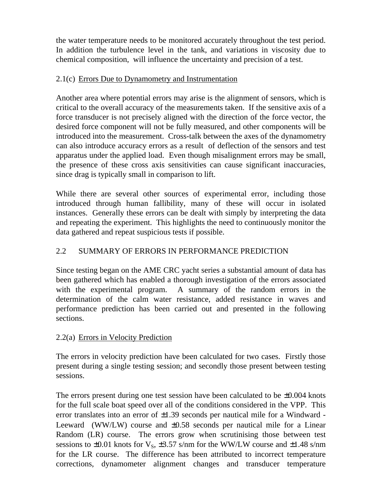the water temperature needs to be monitored accurately throughout the test period. In addition the turbulence level in the tank, and variations in viscosity due to chemical composition, will influence the uncertainty and precision of a test.

# 2.1(c) Errors Due to Dynamometry and Instrumentation

Another area where potential errors may arise is the alignment of sensors, which is critical to the overall accuracy of the measurements taken. If the sensitive axis of a force transducer is not precisely aligned with the direction of the force vector, the desired force component will not be fully measured, and other components will be introduced into the measurement. Cross-talk between the axes of the dynamometry can also introduce accuracy errors as a result of deflection of the sensors and test apparatus under the applied load. Even though misalignment errors may be small, the presence of these cross axis sensitivities can cause significant inaccuracies, since drag is typically small in comparison to lift.

While there are several other sources of experimental error, including those introduced through human fallibility, many of these will occur in isolated instances. Generally these errors can be dealt with simply by interpreting the data and repeating the experiment. This highlights the need to continuously monitor the data gathered and repeat suspicious tests if possible.

# 2.2 SUMMARY OF ERRORS IN PERFORMANCE PREDICTION

Since testing began on the AME CRC yacht series a substantial amount of data has been gathered which has enabled a thorough investigation of the errors associated with the experimental program. A summary of the random errors in the determination of the calm water resistance, added resistance in waves and performance prediction has been carried out and presented in the following sections.

# 2.2(a) Errors in Velocity Prediction

The errors in velocity prediction have been calculated for two cases. Firstly those present during a single testing session; and secondly those present between testing sessions.

The errors present during one test session have been calculated to be  $\pm 0.004$  knots for the full scale boat speed over all of the conditions considered in the VPP. This error translates into an error of  $\pm 1.39$  seconds per nautical mile for a Windward -Leeward (WW/LW) course and  $\pm 0.58$  seconds per nautical mile for a Linear Random (LR) course. The errors grow when scrutinising those between test sessions to  $\pm 0.01$  knots for  $V_s$ ,  $\pm 3.57$  s/nm for the WW/LW course and  $\pm 1.48$  s/nm for the LR course. The difference has been attributed to incorrect temperature corrections, dynamometer alignment changes and transducer temperature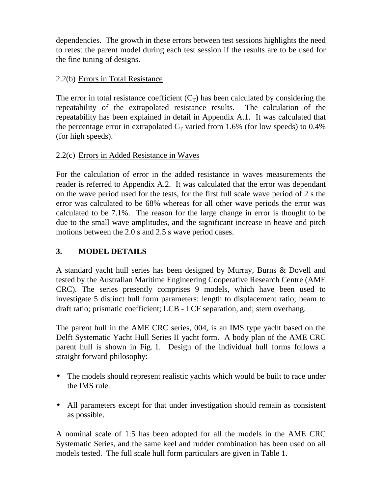dependencies. The growth in these errors between test sessions highlights the need to retest the parent model during each test session if the results are to be used for the fine tuning of designs.

# 2.2(b) Errors in Total Resistance

The error in total resistance coefficient  $(C_T)$  has been calculated by considering the repeatability of the extrapolated resistance results. The calculation of the repeatability has been explained in detail in Appendix A.1. It was calculated that the percentage error in extrapolated  $C_T$  varied from 1.6% (for low speeds) to 0.4% (for high speeds).

# 2.2(c) Errors in Added Resistance in Waves

For the calculation of error in the added resistance in waves measurements the reader is referred to Appendix A.2. It was calculated that the error was dependant on the wave period used for the tests, for the first full scale wave period of 2 s the error was calculated to be 68% whereas for all other wave periods the error was calculated to be 7.1%. The reason for the large change in error is thought to be due to the small wave amplitudes, and the significant increase in heave and pitch motions between the 2.0 s and 2.5 s wave period cases.

# **3. MODEL DETAILS**

A standard yacht hull series has been designed by Murray, Burns & Dovell and tested by the Australian Maritime Engineering Cooperative Research Centre (AME CRC). The series presently comprises 9 models, which have been used to investigate 5 distinct hull form parameters: length to displacement ratio; beam to draft ratio; prismatic coefficient; LCB - LCF separation, and; stern overhang.

The parent hull in the AME CRC series, 004, is an IMS type yacht based on the Delft Systematic Yacht Hull Series II yacht form. A body plan of the AME CRC parent hull is shown in Fig. 1. Design of the individual hull forms follows a straight forward philosophy:

- The models should represent realistic yachts which would be built to race under the IMS rule.
- All parameters except for that under investigation should remain as consistent as possible.

A nominal scale of 1:5 has been adopted for all the models in the AME CRC Systematic Series, and the same keel and rudder combination has been used on all models tested. The full scale hull form particulars are given in Table 1.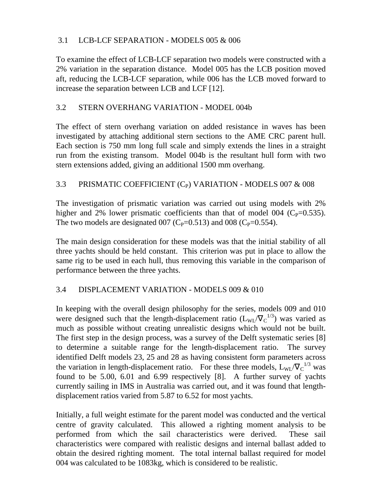# 3.1 LCB-LCF SEPARATION - MODELS 005 & 006

To examine the effect of LCB-LCF separation two models were constructed with a 2% variation in the separation distance. Model 005 has the LCB position moved aft, reducing the LCB-LCF separation, while 006 has the LCB moved forward to increase the separation between LCB and LCF [12].

# 3.2 STERN OVERHANG VARIATION - MODEL 004b

The effect of stern overhang variation on added resistance in waves has been investigated by attaching additional stern sections to the AME CRC parent hull. Each section is 750 mm long full scale and simply extends the lines in a straight run from the existing transom. Model 004b is the resultant hull form with two stern extensions added, giving an additional 1500 mm overhang.

## 3.3 PRISMATIC COEFFICIENT  $(C_P)$  VARIATION - MODELS 007 & 008

The investigation of prismatic variation was carried out using models with 2% higher and 2% lower prismatic coefficients than that of model 004 ( $C_P$ =0.535). The two models are designated 007 (C<sub>P</sub>=0.513) and 008 (C<sub>P</sub>=0.554).

The main design consideration for these models was that the initial stability of all three yachts should be held constant. This criterion was put in place to allow the same rig to be used in each hull, thus removing this variable in the comparison of performance between the three yachts.

#### 3.4 DISPLACEMENT VARIATION - MODELS 009 & 010

In keeping with the overall design philosophy for the series, models 009 and 010 were designed such that the length-displacement ratio  $(L_{WL}/V_C^{1/3})$  was varied as much as possible without creating unrealistic designs which would not be built. The first step in the design process, was a survey of the Delft systematic series [8] to determine a suitable range for the length-displacement ratio. The survey identified Delft models 23, 25 and 28 as having consistent form parameters across the variation in length-displacement ratio. For these three models,  $L_{WL}/\nabla_c^{-1/3}$  was found to be 5.00, 6.01 and 6.99 respectively [8]. A further survey of yachts currently sailing in IMS in Australia was carried out, and it was found that lengthdisplacement ratios varied from 5.87 to 6.52 for most yachts.

Initially, a full weight estimate for the parent model was conducted and the vertical centre of gravity calculated. This allowed a righting moment analysis to be performed from which the sail characteristics were derived. These sail characteristics were compared with realistic designs and internal ballast added to obtain the desired righting moment. The total internal ballast required for model 004 was calculated to be 1083kg, which is considered to be realistic.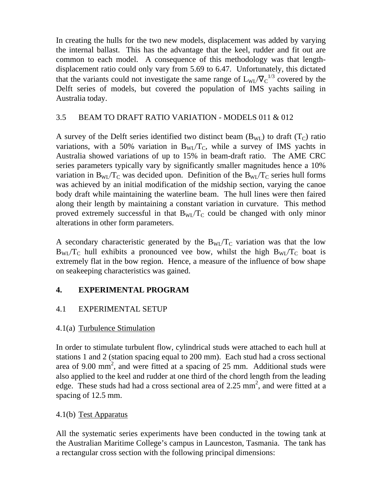In creating the hulls for the two new models, displacement was added by varying the internal ballast. This has the advantage that the keel, rudder and fit out are common to each model. A consequence of this methodology was that lengthdisplacement ratio could only vary from 5.69 to 6.47. Unfortunately, this dictated that the variants could not investigate the same range of  $L_{WL}/V_C^{1/3}$  covered by the Delft series of models, but covered the population of IMS yachts sailing in Australia today.

# 3.5 BEAM TO DRAFT RATIO VARIATION - MODELS 011 & 012

A survey of the Delft series identified two distinct beam  $(B_{WL})$  to draft  $(T_C)$  ratio variations, with a 50% variation in  $B_{WL}/T_c$ , while a survey of IMS yachts in Australia showed variations of up to 15% in beam-draft ratio. The AME CRC series parameters typically vary by significantly smaller magnitudes hence a 10% variation in  $B_{\text{WI}}/T_C$  was decided upon. Definition of the  $B_{\text{WI}}/T_C$  series hull forms was achieved by an initial modification of the midship section, varying the canoe body draft while maintaining the waterline beam. The hull lines were then faired along their length by maintaining a constant variation in curvature. This method proved extremely successful in that  $B_{\text{WI}}/T_C$  could be changed with only minor alterations in other form parameters.

A secondary characteristic generated by the  $B_{WL}/T_C$  variation was that the low  $B_{\text{WI}}/T_{\text{C}}$  hull exhibits a pronounced vee bow, whilst the high  $B_{\text{WI}}/T_{\text{C}}$  boat is extremely flat in the bow region. Hence, a measure of the influence of bow shape on seakeeping characteristics was gained.

# **4. EXPERIMENTAL PROGRAM**

#### 4.1 EXPERIMENTAL SETUP

#### 4.1(a) Turbulence Stimulation

In order to stimulate turbulent flow, cylindrical studs were attached to each hull at stations 1 and 2 (station spacing equal to 200 mm). Each stud had a cross sectional area of 9.00 mm<sup>2</sup>, and were fitted at a spacing of 25 mm. Additional studs were also applied to the keel and rudder at one third of the chord length from the leading edge. These studs had had a cross sectional area of 2.25 mm<sup>2</sup>, and were fitted at a spacing of 12.5 mm.

#### 4.1(b) Test Apparatus

All the systematic series experiments have been conducted in the towing tank at the Australian Maritime College's campus in Launceston, Tasmania. The tank has a rectangular cross section with the following principal dimensions: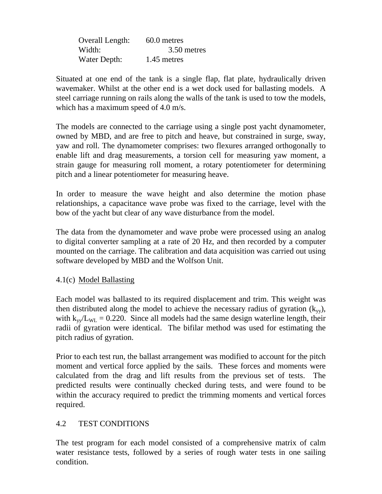| Overall Length: | 60.0 metres |
|-----------------|-------------|
| Width:          | 3.50 metres |
| Water Depth:    | 1.45 metres |

Situated at one end of the tank is a single flap, flat plate, hydraulically driven wavemaker. Whilst at the other end is a wet dock used for ballasting models. A steel carriage running on rails along the walls of the tank is used to tow the models, which has a maximum speed of 4.0 m/s.

The models are connected to the carriage using a single post yacht dynamometer, owned by MBD, and are free to pitch and heave, but constrained in surge, sway, yaw and roll. The dynamometer comprises: two flexures arranged orthogonally to enable lift and drag measurements, a torsion cell for measuring yaw moment, a strain gauge for measuring roll moment, a rotary potentiometer for determining pitch and a linear potentiometer for measuring heave.

In order to measure the wave height and also determine the motion phase relationships, a capacitance wave probe was fixed to the carriage, level with the bow of the yacht but clear of any wave disturbance from the model.

The data from the dynamometer and wave probe were processed using an analog to digital converter sampling at a rate of 20 Hz, and then recorded by a computer mounted on the carriage. The calibration and data acquisition was carried out using software developed by MBD and the Wolfson Unit.

# 4.1(c) Model Ballasting

Each model was ballasted to its required displacement and trim. This weight was then distributed along the model to achieve the necessary radius of gyration  $(k_{yy})$ , with  $k_{\text{vv}}/L_{\text{WL}} = 0.220$ . Since all models had the same design waterline length, their radii of gyration were identical. The bifilar method was used for estimating the pitch radius of gyration.

Prior to each test run, the ballast arrangement was modified to account for the pitch moment and vertical force applied by the sails. These forces and moments were calculated from the drag and lift results from the previous set of tests. The predicted results were continually checked during tests, and were found to be within the accuracy required to predict the trimming moments and vertical forces required.

# 4.2 TEST CONDITIONS

The test program for each model consisted of a comprehensive matrix of calm water resistance tests, followed by a series of rough water tests in one sailing condition.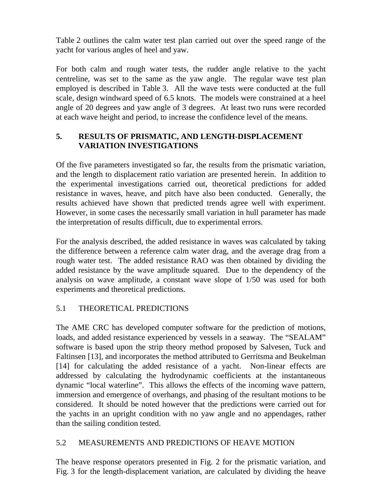Table 2 outlines the calm water test plan carried out over the speed range of the yacht for various angles of heel and yaw.

For both calm and rough water tests, the rudder angle relative to the yacht centreline, was set to the same as the yaw angle. The regular wave test plan employed is described in Table 3. All the wave tests were conducted at the full scale, design windward speed of 6.5 knots. The models were constrained at a heel angle of 20 degrees and yaw angle of 3 degrees. At least two runs were recorded at each wave height and period, to increase the confidence level of the means.

# **5. RESULTS OF PRISMATIC, AND LENGTH-DISPLACEMENT VARIATION INVESTIGATIONS**

Of the five parameters investigated so far, the results from the prismatic variation, and the length to displacement ratio variation are presented herein. In addition to the experimental investigations carried out, theoretical predictions for added resistance in waves, heave, and pitch have also been conducted. Generally, the results achieved have shown that predicted trends agree well with experiment. However, in some cases the necessarily small variation in hull parameter has made the interpretation of results difficult, due to experimental errors.

For the analysis described, the added resistance in waves was calculated by taking the difference between a reference calm water drag, and the average drag from a rough water test. The added resistance RAO was then obtained by dividing the added resistance by the wave amplitude squared. Due to the dependency of the analysis on wave amplitude, a constant wave slope of 1/50 was used for both experiments and theoretical predictions.

# 5.1 THEORETICAL PREDICTIONS

The AME CRC has developed computer software for the prediction of motions, loads, and added resistance experienced by vessels in a seaway. The "SEALAM" software is based upon the strip theory method proposed by Salvesen, Tuck and Faltinsen [13], and incorporates the method attributed to Gerritsma and Beukelman [14] for calculating the added resistance of a yacht. Non-linear effects are addressed by calculating the hydrodynamic coefficients at the instantaneous dynamic "local waterline". This allows the effects of the incoming wave pattern, immersion and emergence of overhangs, and phasing of the resultant motions to be considered. It should be noted however that the predictions were carried out for the yachts in an upright condition with no yaw angle and no appendages, rather than the sailing condition tested.

#### 5.2 MEASUREMENTS AND PREDICTIONS OF HEAVE MOTION

The heave response operators presented in Fig. 2 for the prismatic variation, and Fig. 3 for the length-displacement variation, are calculated by dividing the heave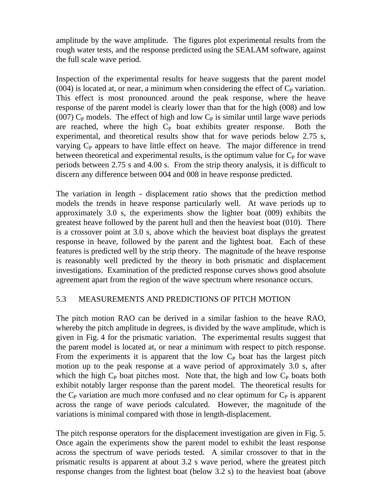amplitude by the wave amplitude. The figures plot experimental results from the rough water tests, and the response predicted using the SEALAM software, against the full scale wave period.

Inspection of the experimental results for heave suggests that the parent model  $(004)$  is located at, or near, a minimum when considering the effect of  $C_P$  variation. This effect is most pronounced around the peak response, where the heave response of the parent model is clearly lower than that for the high (008) and low (007)  $C_{P}$  models. The effect of high and low  $C_{P}$  is similar until large wave periods are reached, where the high  $C_P$  boat exhibits greater response. Both the experimental, and theoretical results show that for wave periods below 2.75 s, varying  $C_{P}$  appears to have little effect on heave. The major difference in trend between theoretical and experimental results, is the optimum value for  $C_{P}$  for wave periods between 2.75 s and 4.00 s. From the strip theory analysis, it is difficult to discern any difference between 004 and 008 in heave response predicted.

The variation in length - displacement ratio shows that the prediction method models the trends in heave response particularly well. At wave periods up to approximately 3.0 s, the experiments show the lighter boat (009) exhibits the greatest heave followed by the parent hull and then the heaviest boat (010). There is a crossover point at 3.0 s, above which the heaviest boat displays the greatest response in heave, followed by the parent and the lightest boat. Each of these features is predicted well by the strip theory. The magnitude of the heave response is reasonably well predicted by the theory in both prismatic and displacement investigations. Examination of the predicted response curves shows good absolute agreement apart from the region of the wave spectrum where resonance occurs.

#### 5.3 MEASUREMENTS AND PREDICTIONS OF PITCH MOTION

The pitch motion RAO can be derived in a similar fashion to the heave RAO, whereby the pitch amplitude in degrees, is divided by the wave amplitude, which is given in Fig. 4 for the prismatic variation. The experimental results suggest that the parent model is located at, or near a minimum with respect to pitch response. From the experiments it is apparent that the low  $C_{P}$  boat has the largest pitch motion up to the peak response at a wave period of approximately 3.0 s, after which the high  $C_P$  boat pitches most. Note that, the high and low  $C_P$  boats both exhibit notably larger response than the parent model. The theoretical results for the  $C_{P}$  variation are much more confused and no clear optimum for  $C_{P}$  is apparent across the range of wave periods calculated. However, the magnitude of the variations is minimal compared with those in length-displacement.

The pitch response operators for the displacement investigation are given in Fig. 5. Once again the experiments show the parent model to exhibit the least response across the spectrum of wave periods tested. A similar crossover to that in the prismatic results is apparent at about 3.2 s wave period, where the greatest pitch response changes from the lightest boat (below 3.2 s) to the heaviest boat (above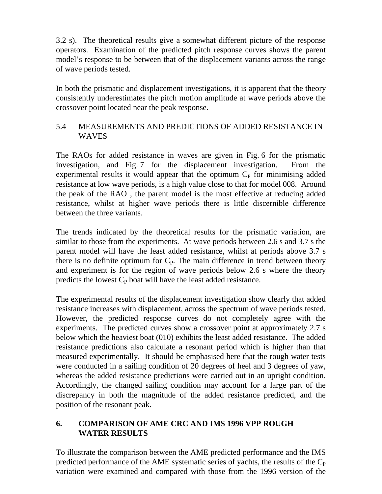3.2 s). The theoretical results give a somewhat different picture of the response operators. Examination of the predicted pitch response curves shows the parent model's response to be between that of the displacement variants across the range of wave periods tested.

In both the prismatic and displacement investigations, it is apparent that the theory consistently underestimates the pitch motion amplitude at wave periods above the crossover point located near the peak response.

## 5.4 MEASUREMENTS AND PREDICTIONS OF ADDED RESISTANCE IN WAVES

The RAOs for added resistance in waves are given in Fig. 6 for the prismatic investigation, and Fig. 7 for the displacement investigation. From the experimental results it would appear that the optimum  $C<sub>P</sub>$  for minimising added resistance at low wave periods, is a high value close to that for model 008. Around the peak of the RAO , the parent model is the most effective at reducing added resistance, whilst at higher wave periods there is little discernible difference between the three variants.

The trends indicated by the theoretical results for the prismatic variation, are similar to those from the experiments. At wave periods between 2.6 s and 3.7 s the parent model will have the least added resistance, whilst at periods above 3.7 s there is no definite optimum for  $C_{P}$ . The main difference in trend between theory and experiment is for the region of wave periods below 2.6 s where the theory predicts the lowest  $C_P$  boat will have the least added resistance.

The experimental results of the displacement investigation show clearly that added resistance increases with displacement, across the spectrum of wave periods tested. However, the predicted response curves do not completely agree with the experiments. The predicted curves show a crossover point at approximately 2.7 s below which the heaviest boat (010) exhibits the least added resistance. The added resistance predictions also calculate a resonant period which is higher than that measured experimentally. It should be emphasised here that the rough water tests were conducted in a sailing condition of 20 degrees of heel and 3 degrees of yaw, whereas the added resistance predictions were carried out in an upright condition. Accordingly, the changed sailing condition may account for a large part of the discrepancy in both the magnitude of the added resistance predicted, and the position of the resonant peak.

## **6. COMPARISON OF AME CRC AND IMS 1996 VPP ROUGH WATER RESULTS**

To illustrate the comparison between the AME predicted performance and the IMS predicted performance of the AME systematic series of yachts, the results of the  $C_{P}$ variation were examined and compared with those from the 1996 version of the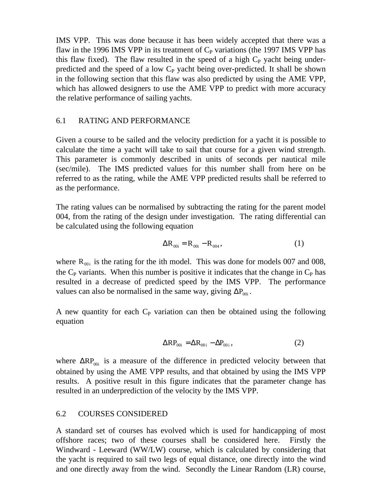IMS VPP. This was done because it has been widely accepted that there was a flaw in the 1996 IMS VPP in its treatment of  $C_P$  variations (the 1997 IMS VPP has this flaw fixed). The flaw resulted in the speed of a high  $C_{P}$  yacht being underpredicted and the speed of a low  $C_P$  yacht being over-predicted. It shall be shown in the following section that this flaw was also predicted by using the AME VPP, which has allowed designers to use the AME VPP to predict with more accuracy the relative performance of sailing yachts.

#### 6.1 RATING AND PERFORMANCE

Given a course to be sailed and the velocity prediction for a yacht it is possible to calculate the time a yacht will take to sail that course for a given wind strength. This parameter is commonly described in units of seconds per nautical mile (sec/mile). The IMS predicted values for this number shall from here on be referred to as the rating, while the AME VPP predicted results shall be referred to as the performance.

The rating values can be normalised by subtracting the rating for the parent model 004, from the rating of the design under investigation. The rating differential can be calculated using the following equation

$$
\Delta R_{00i} = R_{00i} - R_{004}, \qquad (1)
$$

where  $R_{00i}$  is the rating for the ith model. This was done for models 007 and 008, the  $C_{\rm P}$  variants. When this number is positive it indicates that the change in  $C_{\rm P}$  has resulted in a decrease of predicted speed by the IMS VPP. The performance values can also be normalised in the same way, giving  $\Delta P_{00i}$ .

A new quantity for each  $C_P$  variation can then be obtained using the following equation

$$
\Delta RP_{00i} = \Delta R_{00i} - \Delta P_{00i},\qquad(2)
$$

where  $\Delta RP_{00i}$  is a measure of the difference in predicted velocity between that obtained by using the AME VPP results, and that obtained by using the IMS VPP results. A positive result in this figure indicates that the parameter change has resulted in an underprediction of the velocity by the IMS VPP.

#### 6.2 COURSES CONSIDERED

A standard set of courses has evolved which is used for handicapping of most offshore races; two of these courses shall be considered here. Firstly the Windward - Leeward (WW/LW) course, which is calculated by considering that the yacht is required to sail two legs of equal distance, one directly into the wind and one directly away from the wind. Secondly the Linear Random (LR) course,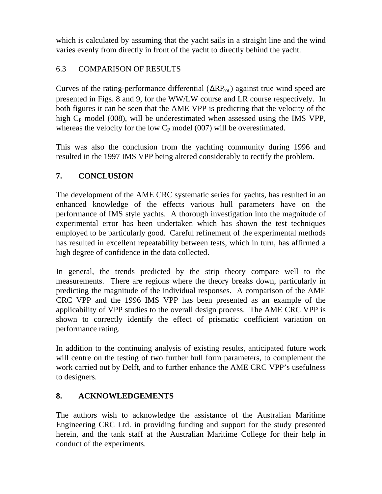which is calculated by assuming that the yacht sails in a straight line and the wind varies evenly from directly in front of the yacht to directly behind the yacht.

# 6.3 COMPARISON OF RESULTS

Curves of the rating-performance differential  $(\Delta RP_{00i})$  against true wind speed are presented in Figs. 8 and 9, for the WW/LW course and LR course respectively. In both figures it can be seen that the AME VPP is predicting that the velocity of the high  $C_{P}$  model (008), will be underestimated when assessed using the IMS VPP, whereas the velocity for the low  $C_P$  model (007) will be overestimated.

This was also the conclusion from the yachting community during 1996 and resulted in the 1997 IMS VPP being altered considerably to rectify the problem.

# **7. CONCLUSION**

The development of the AME CRC systematic series for yachts, has resulted in an enhanced knowledge of the effects various hull parameters have on the performance of IMS style yachts. A thorough investigation into the magnitude of experimental error has been undertaken which has shown the test techniques employed to be particularly good. Careful refinement of the experimental methods has resulted in excellent repeatability between tests, which in turn, has affirmed a high degree of confidence in the data collected.

In general, the trends predicted by the strip theory compare well to the measurements. There are regions where the theory breaks down, particularly in predicting the magnitude of the individual responses. A comparison of the AME CRC VPP and the 1996 IMS VPP has been presented as an example of the applicability of VPP studies to the overall design process. The AME CRC VPP is shown to correctly identify the effect of prismatic coefficient variation on performance rating.

In addition to the continuing analysis of existing results, anticipated future work will centre on the testing of two further hull form parameters, to complement the work carried out by Delft, and to further enhance the AME CRC VPP's usefulness to designers.

# **8. ACKNOWLEDGEMENTS**

The authors wish to acknowledge the assistance of the Australian Maritime Engineering CRC Ltd. in providing funding and support for the study presented herein, and the tank staff at the Australian Maritime College for their help in conduct of the experiments.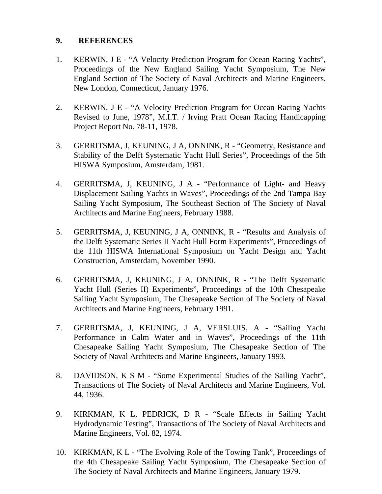#### **9. REFERENCES**

- 1. KERWIN, J E "A Velocity Prediction Program for Ocean Racing Yachts", Proceedings of the New England Sailing Yacht Symposium, The New England Section of The Society of Naval Architects and Marine Engineers, New London, Connecticut, January 1976.
- 2. KERWIN, J E "A Velocity Prediction Program for Ocean Racing Yachts Revised to June, 1978", M.I.T. / Irving Pratt Ocean Racing Handicapping Project Report No. 78-11, 1978.
- 3. GERRITSMA, J, KEUNING, J A, ONNINK, R "Geometry, Resistance and Stability of the Delft Systematic Yacht Hull Series", Proceedings of the 5th HISWA Symposium, Amsterdam, 1981.
- 4. GERRITSMA, J, KEUNING, J A "Performance of Light- and Heavy Displacement Sailing Yachts in Waves", Proceedings of the 2nd Tampa Bay Sailing Yacht Symposium, The Southeast Section of The Society of Naval Architects and Marine Engineers, February 1988.
- 5. GERRITSMA, J, KEUNING, J A, ONNINK, R "Results and Analysis of the Delft Systematic Series II Yacht Hull Form Experiments", Proceedings of the 11th HISWA International Symposium on Yacht Design and Yacht Construction, Amsterdam, November 1990.
- 6. GERRITSMA, J, KEUNING, J A, ONNINK, R "The Delft Systematic Yacht Hull (Series II) Experiments", Proceedings of the 10th Chesapeake Sailing Yacht Symposium, The Chesapeake Section of The Society of Naval Architects and Marine Engineers, February 1991.
- 7. GERRITSMA, J, KEUNING, J A, VERSLUIS, A "Sailing Yacht Performance in Calm Water and in Waves", Proceedings of the 11th Chesapeake Sailing Yacht Symposium, The Chesapeake Section of The Society of Naval Architects and Marine Engineers, January 1993.
- 8. DAVIDSON, K S M "Some Experimental Studies of the Sailing Yacht", Transactions of The Society of Naval Architects and Marine Engineers, Vol. 44, 1936.
- 9. KIRKMAN, K L, PEDRICK, D R "Scale Effects in Sailing Yacht Hydrodynamic Testing", Transactions of The Society of Naval Architects and Marine Engineers, Vol. 82, 1974.
- 10. KIRKMAN, K L "The Evolving Role of the Towing Tank", Proceedings of the 4th Chesapeake Sailing Yacht Symposium, The Chesapeake Section of The Society of Naval Architects and Marine Engineers, January 1979.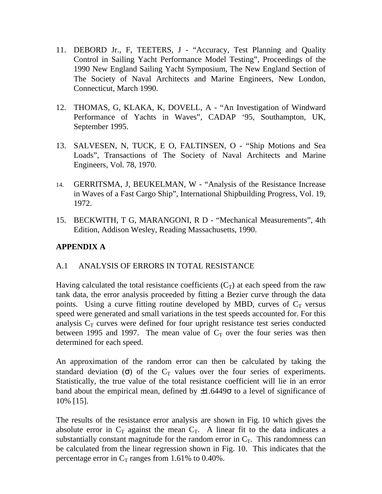- 11. DEBORD Jr., F, TEETERS, J "Accuracy, Test Planning and Quality Control in Sailing Yacht Performance Model Testing", Proceedings of the 1990 New England Sailing Yacht Symposium, The New England Section of The Society of Naval Architects and Marine Engineers, New London, Connecticut, March 1990.
- 12. THOMAS, G, KLAKA, K, DOVELL, A "An Investigation of Windward Performance of Yachts in Waves", CADAP '95, Southampton, UK, September 1995.
- 13. SALVESEN, N, TUCK, E O, FALTINSEN, O "Ship Motions and Sea Loads", Transactions of The Society of Naval Architects and Marine Engineers, Vol. 78, 1970.
- 14. GERRITSMA, J, BEUKELMAN, W "Analysis of the Resistance Increase in Waves of a Fast Cargo Ship", International Shipbuilding Progress, Vol. 19, 1972.
- 15. BECKWITH, T G, MARANGONI, R D "Mechanical Measurements", 4th Edition, Addison Wesley, Reading Massachusetts, 1990.

# **APPENDIX A**

#### A.1 ANALYSIS OF ERRORS IN TOTAL RESISTANCE

Having calculated the total resistance coefficients  $(C_T)$  at each speed from the raw tank data, the error analysis proceeded by fitting a Bezier curve through the data points. Using a curve fitting routine developed by MBD, curves of  $C_T$  versus speed were generated and small variations in the test speeds accounted for. For this analysis  $C_T$  curves were defined for four upright resistance test series conducted between 1995 and 1997. The mean value of  $C_T$  over the four series was then determined for each speed.

An approximation of the random error can then be calculated by taking the standard deviation (σ) of the  $C_T$  values over the four series of experiments. Statistically, the true value of the total resistance coefficient will lie in an error band about the empirical mean, defined by  $\pm 1.6449\sigma$  to a level of significance of 10% [15].

The results of the resistance error analysis are shown in Fig. 10 which gives the absolute error in  $C_T$  against the mean  $C_T$ . A linear fit to the data indicates a substantially constant magnitude for the random error in  $C_T$ . This randomness can be calculated from the linear regression shown in Fig. 10. This indicates that the percentage error in  $C_T$  ranges from 1.61% to 0.40%.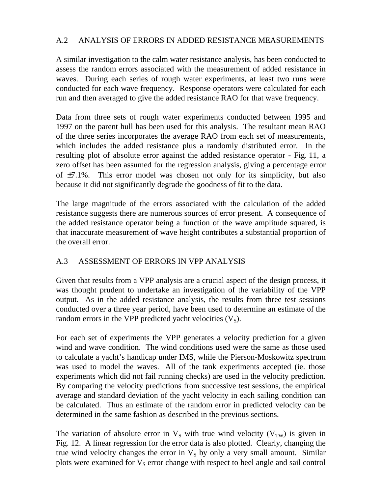## A.2 ANALYSIS OF ERRORS IN ADDED RESISTANCE MEASUREMENTS

A similar investigation to the calm water resistance analysis, has been conducted to assess the random errors associated with the measurement of added resistance in waves. During each series of rough water experiments, at least two runs were conducted for each wave frequency. Response operators were calculated for each run and then averaged to give the added resistance RAO for that wave frequency.

Data from three sets of rough water experiments conducted between 1995 and 1997 on the parent hull has been used for this analysis. The resultant mean RAO of the three series incorporates the average RAO from each set of measurements, which includes the added resistance plus a randomly distributed error. In the resulting plot of absolute error against the added resistance operator - Fig. 11, a zero offset has been assumed for the regression analysis, giving a percentage error of  $\pm$ 7.1%. This error model was chosen not only for its simplicity, but also because it did not significantly degrade the goodness of fit to the data.

The large magnitude of the errors associated with the calculation of the added resistance suggests there are numerous sources of error present. A consequence of the added resistance operator being a function of the wave amplitude squared, is that inaccurate measurement of wave height contributes a substantial proportion of the overall error.

# A.3 ASSESSMENT OF ERRORS IN VPP ANALYSIS

Given that results from a VPP analysis are a crucial aspect of the design process, it was thought prudent to undertake an investigation of the variability of the VPP output. As in the added resistance analysis, the results from three test sessions conducted over a three year period, have been used to determine an estimate of the random errors in the VPP predicted yacht velocities  $(V<sub>S</sub>)$ .

For each set of experiments the VPP generates a velocity prediction for a given wind and wave condition. The wind conditions used were the same as those used to calculate a yacht's handicap under IMS, while the Pierson-Moskowitz spectrum was used to model the waves. All of the tank experiments accepted (ie. those experiments which did not fail running checks) are used in the velocity prediction. By comparing the velocity predictions from successive test sessions, the empirical average and standard deviation of the yacht velocity in each sailing condition can be calculated. Thus an estimate of the random error in predicted velocity can be determined in the same fashion as described in the previous sections.

The variation of absolute error in  $V_s$  with true wind velocity ( $V_{TW}$ ) is given in Fig. 12. A linear regression for the error data is also plotted. Clearly, changing the true wind velocity changes the error in  $V<sub>S</sub>$  by only a very small amount. Similar plots were examined for  $V<sub>S</sub>$  error change with respect to heel angle and sail control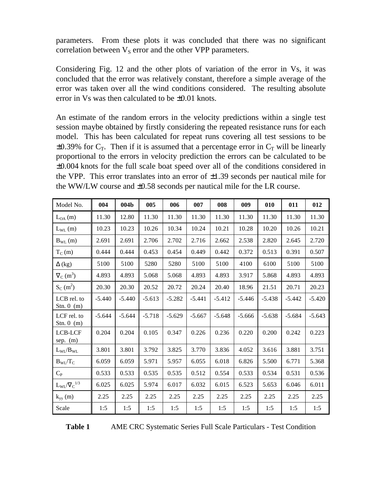parameters. From these plots it was concluded that there was no significant correlation between  $V_S$  error and the other VPP parameters.

Considering Fig. 12 and the other plots of variation of the error in Vs, it was concluded that the error was relatively constant, therefore a simple average of the error was taken over all the wind conditions considered. The resulting absolute error in  $Vs$  was then calculated to be  $\pm 0.01$  knots.

An estimate of the random errors in the velocity predictions within a single test session maybe obtained by firstly considering the repeated resistance runs for each model. This has been calculated for repeat runs covering all test sessions to be  $\pm 0.39\%$  for C<sub>T</sub>. Then if it is assumed that a percentage error in C<sub>T</sub> will be linearly proportional to the errors in velocity prediction the errors can be calculated to be ±0.004 knots for the full scale boat speed over all of the conditions considered in the VPP. This error translates into an error of  $\pm 1.39$  seconds per nautical mile for the WW/LW course and  $\pm 0.58$  seconds per nautical mile for the LR course.

| Model No.                           | 004      | 004b     | 005      | 006      | 007      | 008      | 009      | 010      | 011      | 012      |
|-------------------------------------|----------|----------|----------|----------|----------|----------|----------|----------|----------|----------|
| $L_{OA}$ (m)                        | 11.30    | 12.80    | 11.30    | 11.30    | 11.30    | 11.30    | 11.30    | 11.30    | 11.30    | 11.30    |
| $L_{WL}$ (m)                        | 10.23    | 10.23    | 10.26    | 10.34    | 10.24    | 10.21    | 10.28    | 10.20    | 10.26    | 10.21    |
| $B_{WL}(m)$                         | 2.691    | 2.691    | 2.706    | 2.702    | 2.716    | 2.662    | 2.538    | 2.820    | 2.645    | 2.720    |
| $T_C(m)$                            | 0.444    | 0.444    | 0.453    | 0.454    | 0.449    | 0.442    | 0.372    | 0.513    | 0.391    | 0.507    |
| $\Delta$ (kg)                       | 5100     | 5100     | 5280     | 5280     | 5100     | 5100     | 4100     | 6100     | 5100     | 5100     |
| $\nabla_{\rm C}$ (m <sup>3</sup> )  | 4.893    | 4.893    | 5.068    | 5.068    | 4.893    | 4.893    | 3.917    | 5.868    | 4.893    | 4.893    |
| $S_C(m^2)$                          | 20.30    | 20.30    | 20.52    | 20.72    | 20.24    | 20.40    | 18.96    | 21.51    | 20.71    | 20.23    |
| LCB rel. to<br>Stn. $0 \text{ (m)}$ | $-5.440$ | $-5.440$ | $-5.613$ | $-5.282$ | $-5.441$ | $-5.412$ | $-5.446$ | $-5.438$ | $-5.442$ | $-5.420$ |
| LCF rel. to<br>Stn. $0 \text{ (m)}$ | $-5.644$ | $-5.644$ | $-5.718$ | $-5.629$ | $-5.667$ | $-5.648$ | $-5.666$ | $-5.638$ | $-5.684$ | $-5.643$ |
| LCB-LCF<br>sep. $(m)$               | 0.204    | 0.204    | 0.105    | 0.347    | 0.226    | 0.236    | 0.220    | 0.200    | 0.242    | 0.223    |
| $L_{\rm WL}/B_{\rm WL}$             | 3.801    | 3.801    | 3.792    | 3.825    | 3.770    | 3.836    | 4.052    | 3.616    | 3.881    | 3.751    |
| $B_{\text{WL}}/T_{\text{C}}$        | 6.059    | 6.059    | 5.971    | 5.957    | 6.055    | 6.018    | 6.826    | 5.500    | 6.771    | 5.368    |
| $C_{P}$                             | 0.533    | 0.533    | 0.535    | 0.535    | 0.512    | 0.554    | 0.533    | 0.534    | 0.531    | 0.536    |
| $L_{\text{WL}}/\nabla_{C}^{1/3}$    | 6.025    | 6.025    | 5.974    | 6.017    | 6.032    | 6.015    | 6.523    | 5.653    | 6.046    | 6.011    |
| $k_{yy}$ (m)                        | 2.25     | 2.25     | 2.25     | 2.25     | 2.25     | 2.25     | 2.25     | 2.25     | 2.25     | 2.25     |
| Scale                               | 1:5      | 1:5      | 1:5      | 1:5      | 1:5      | 1:5      | 1:5      | 1:5      | 1:5      | 1:5      |

| `able 1 | AME <sub>C</sub> |
|---------|------------------|
|         |                  |

**Table 1** AME CRC Systematic Series Full Scale Particulars - Test Condition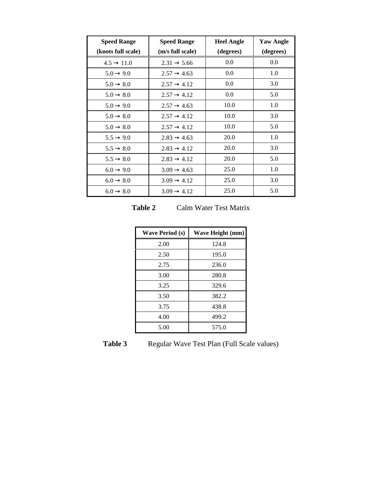| <b>Speed Range</b>     | <b>Speed Range</b>      | <b>Heel Angle</b> | <b>Yaw Angle</b> |
|------------------------|-------------------------|-------------------|------------------|
| (knots full scale)     | (m/s full scale)        | (degrees)         | (degrees)        |
| $4.5 \rightarrow 11.0$ | $2.31 \rightarrow 5.66$ | 0.0               | 0.0              |
| $5.0 \rightarrow 9.0$  | $2.57 \rightarrow 4.63$ | 0.0               | 1.0              |
| $5.0 \rightarrow 8.0$  | $2.57 \rightarrow 4.12$ | 0.0               | 3.0              |
| $5.0 \rightarrow 8.0$  | $2.57 \rightarrow 4.12$ | 0.0               | 5.0              |
| $5.0 \rightarrow 9.0$  | $2.57 \rightarrow 4.63$ | 10.0              | 1.0              |
| $5.0 \rightarrow 8.0$  | $2.57 \rightarrow 4.12$ | 10.0              | 3.0              |
| $5.0 \rightarrow 8.0$  | $2.57 \rightarrow 4.12$ | 10.0              | 5.0              |
| $5.5 \rightarrow 9.0$  | $2.83 \rightarrow 4.63$ | 20.0              | 1.0              |
| $5.5 \rightarrow 8.0$  | $2.83 \rightarrow 4.12$ | 20.0              | 3.0              |
| $5.5 \rightarrow 8.0$  | $2.83 \rightarrow 4.12$ | 20.0              | 5.0              |
| $6.0 \rightarrow 9.0$  | $3.09 \rightarrow 4.63$ | 25.0              | 1.0              |
| $6.0 \rightarrow 8.0$  | $3.09 \rightarrow 4.12$ | 25.0              | 3.0              |
| $6.0 \rightarrow 8.0$  | $3.09 \rightarrow 4.12$ | 25.0              | 5.0              |

**Table 2** Calm Water Test Matrix

| <b>Wave Period (s)</b> | Wave Height (mm) |
|------------------------|------------------|
| 2.00                   | 124.8            |
| 2.50                   | 195.0            |
| 2.75                   | 236.0            |
| 3.00                   | 280.8            |
| 3.25                   | 329.6            |
| 3.50                   | 382.2            |
| 3.75                   | 438.8            |
| 4.00                   | 499.2            |
| 5.00                   | 575.0            |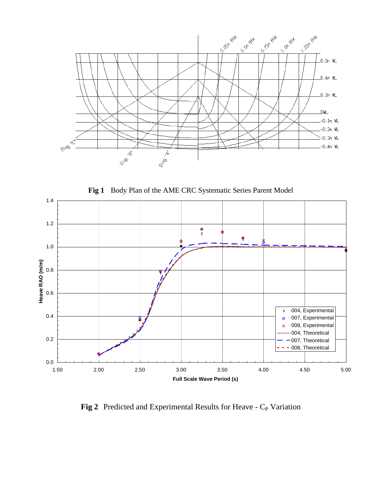





Fig 2 Predicted and Experimental Results for Heave - C<sub>P</sub> Variation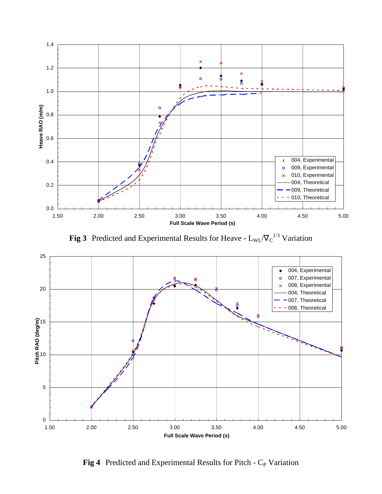

**Fig 3** Predicted and Experimental Results for Heave -  $L_{WL}/V_C^{-1/3}$  Variation



Fig 4 Predicted and Experimental Results for Pitch - C<sub>P</sub> Variation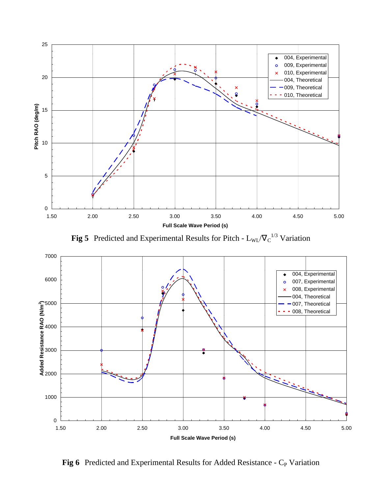

**Fig 5** Predicted and Experimental Results for Pitch -  $L_{WL}/V_C^{-1/3}$  Variation



**Fig 6** Predicted and Experimental Results for Added Resistance - C<sub>P</sub> Variation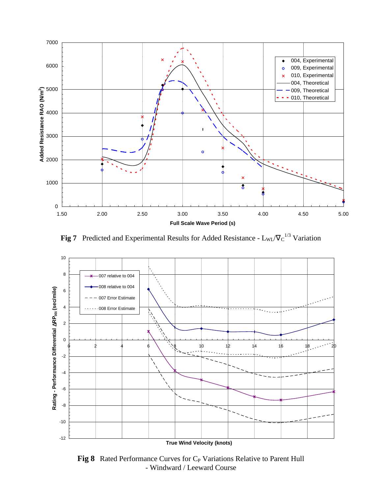

**Fig 7** Predicted and Experimental Results for Added Resistance -  $L_{WL}/\nabla_C^{1/3}$  Variation



Fig 8 Rated Performance Curves for C<sub>P</sub> Variations Relative to Parent Hull - Windward / Leeward Course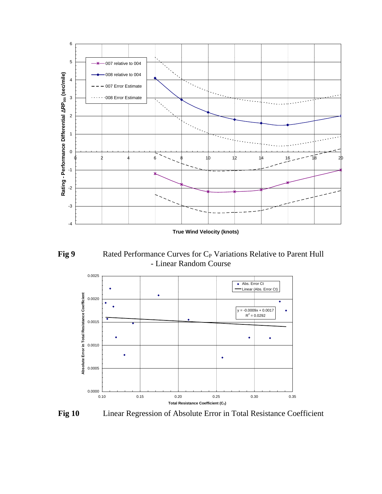

**True Wind Velocity (knots)**